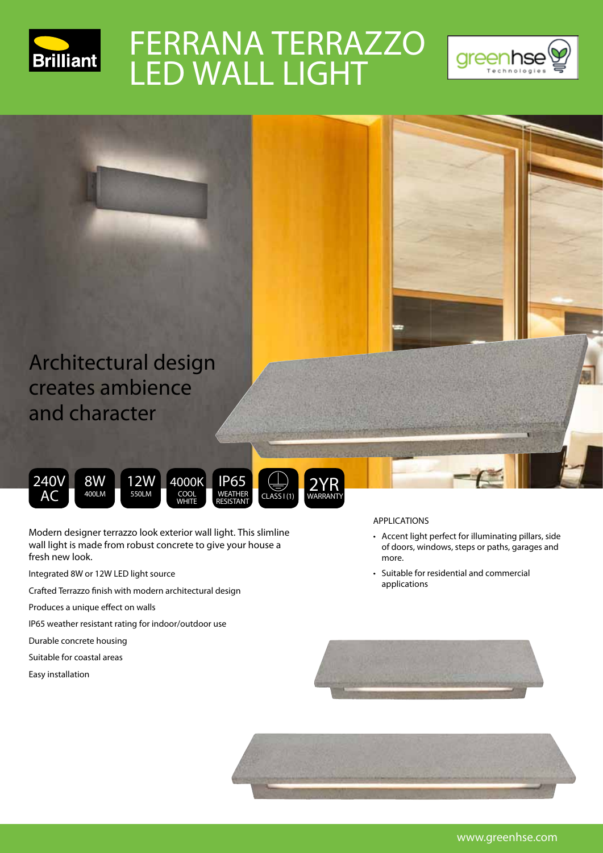

## FERRANA TERRAZZO LED WALL LIGHT





**Modern designer terrazzo look exterior wall light. This slimline**  WEATHER RESISTANT COOL WHITE

**wall light is made from robust concrete to give your house a fresh new look.** 

- Integrated 8W or 12W LED light source
- Crafted Terrazzo finish with modern architectural design
- Produces a unique effect on walls
- IP65 weather resistant rating for indoor/outdoor use
- Durable concrete housing
- Suitable for coastal areas
- Easy installation



- Accent light perfect for illuminating pillars, side of doors, windows, steps or paths, garages and more.
- Suitable for residential and commercial applications